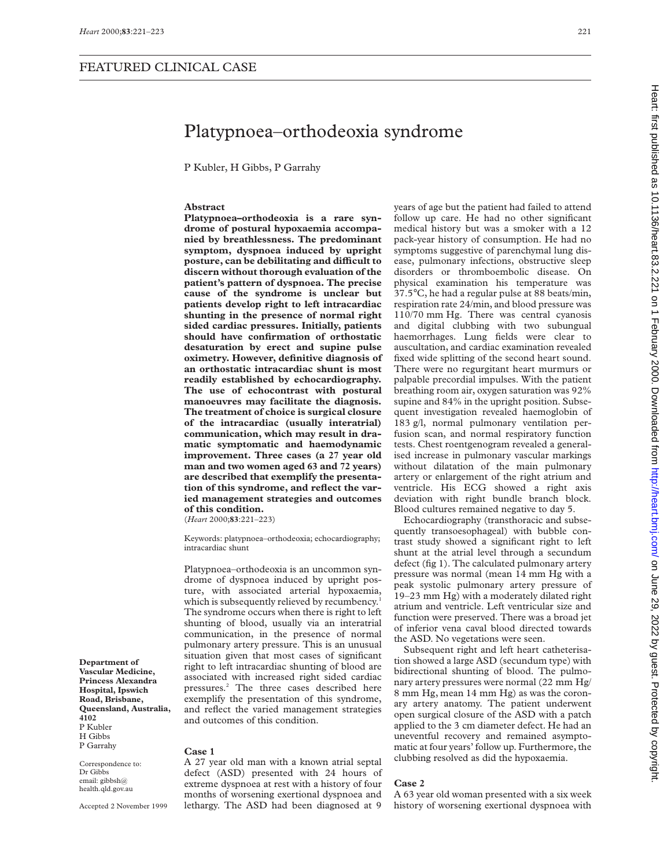# Platypnoea–orthodeoxia syndrome

P Kubler, H Gibbs, P Garrahy

#### **Abstract**

**Platypnoea–orthodeoxia is a rare syndrome of postural hypoxaemia accompanied by breathlessness. The predominant symptom, dyspnoea induced by upright posture, can be debilitating and diYcult to discern without thorough evaluation of the patient's pattern of dyspnoea. The precise cause of the syndrome is unclear but patients develop right to left intracardiac shunting in the presence of normal right sided cardiac pressures. Initially, patients should have confirmation of orthostatic desaturation by erect and supine pulse oximetry. However, definitive diagnosis of an orthostatic intracardiac shunt is most readily established by echocardiography. The use of echocontrast with postural manoeuvres may facilitate the diagnosis. The treatment of choice is surgical closure of the intracardiac (usually interatrial) communication, which may result in dramatic symptomatic and haemodynamic improvement. Three cases (a 27 year old man and two women aged 63 and 72 years) are described that exemplify the presentation of this syndrome, and reflect the varied management strategies and outcomes of this condition.**

(*Heart* 2000;**83**:221–223)

Keywords: platypnoea–orthodeoxia; echocardiography; intracardiac shunt

Platypnoea–orthodeoxia is an uncommon syndrome of dyspnoea induced by upright posture, with associated arterial hypoxaemia, which is subsequently relieved by recumbency.<sup>1</sup> The syndrome occurs when there is right to left shunting of blood, usually via an interatrial communication, in the presence of normal pulmonary artery pressure. This is an unusual situation given that most cases of significant right to left intracardiac shunting of blood are associated with increased right sided cardiac pressures.2 The three cases described here exemplify the presentation of this syndrome, and reflect the varied management strategies and outcomes of this condition.

**Case 1**

Correspondence to: Dr Gibbs email: gibbsh@ health.qld.gov.au

**Department of Vascular Medicine, Princess Alexandra Hospital, Ipswich Road, Brisbane, Queensland, Australia,**

**4102** P Kubler H Gibbs P Garrahy

> A 27 year old man with a known atrial septal defect (ASD) presented with 24 hours of extreme dyspnoea at rest with a history of four months of worsening exertional dyspnoea and lethargy. The ASD had been diagnosed at 9

years of age but the patient had failed to attend follow up care. He had no other significant medical history but was a smoker with a 12 pack-year history of consumption. He had no symptoms suggestive of parenchymal lung disease, pulmonary infections, obstructive sleep disorders or thromboembolic disease. On physical examination his temperature was 37.5°C, he had a regular pulse at 88 beats/min, respiration rate 24/min, and blood pressure was 110/70 mm Hg. There was central cyanosis and digital clubbing with two subungual haemorrhages. Lung fields were clear to auscultation, and cardiac examination revealed fixed wide splitting of the second heart sound. There were no regurgitant heart murmurs or palpable precordial impulses. With the patient breathing room air, oxygen saturation was 92% supine and 84% in the upright position. Subsequent investigation revealed haemoglobin of 183 g/l, normal pulmonary ventilation perfusion scan, and normal respiratory function tests. Chest roentgenogram revealed a generalised increase in pulmonary vascular markings without dilatation of the main pulmonary artery or enlargement of the right atrium and ventricle. His ECG showed a right axis deviation with right bundle branch block. Blood cultures remained negative to day 5.

Echocardiography (transthoracic and subsequently transoesophageal) with bubble contrast study showed a significant right to left shunt at the atrial level through a secundum defect (fig 1). The calculated pulmonary artery pressure was normal (mean 14 mm Hg with a peak systolic pulmonary artery pressure of 19–23 mm Hg) with a moderately dilated right atrium and ventricle. Left ventricular size and function were preserved. There was a broad jet of inferior vena caval blood directed towards the ASD. No vegetations were seen.

Subsequent right and left heart catheterisation showed a large ASD (secundum type) with bidirectional shunting of blood. The pulmonary artery pressures were normal (22 mm Hg/ 8 mm Hg, mean 14 mm Hg) as was the coronary artery anatomy. The patient underwent open surgical closure of the ASD with a patch applied to the 3 cm diameter defect. He had an uneventful recovery and remained asymptomatic at four years' follow up. Furthermore, the clubbing resolved as did the hypoxaemia.

## **Case 2**

A 63 year old woman presented with a six week history of worsening exertional dyspnoea with

### Accepted 2 November 1999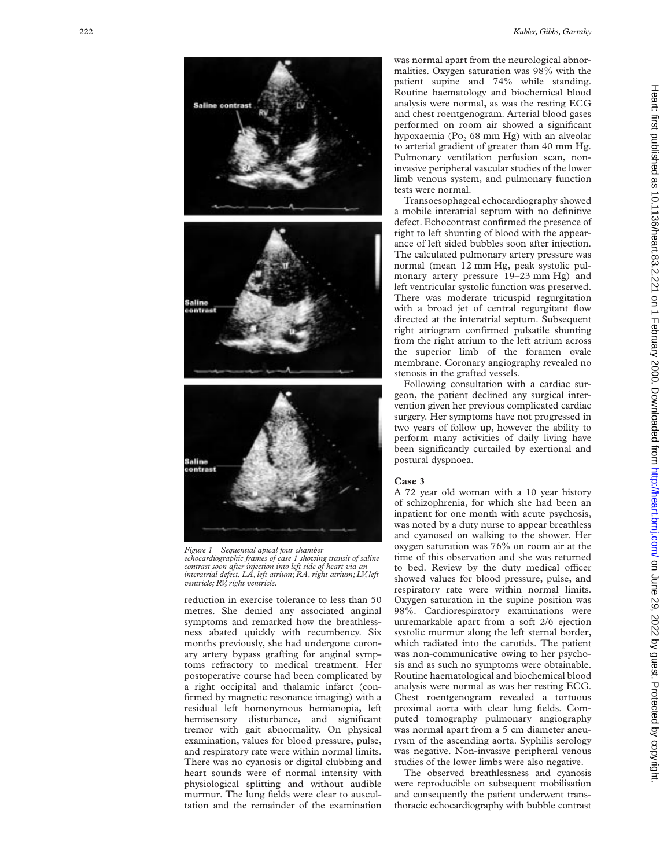



**Saline contrast** 

contrast

*Figure 1 Sequential apical four chamber echocardiographic frames of case 1 showing transit of saline contrast soon after injection into left side of heart via an interatrial defect. LA, left atrium; RA, right atrium; LV, left ventricle; RV, right ventricle.*

reduction in exercise tolerance to less than 50 metres. She denied any associated anginal symptoms and remarked how the breathlessness abated quickly with recumbency. Six months previously, she had undergone coronary artery bypass grafting for anginal symptoms refractory to medical treatment. Her postoperative course had been complicated by a right occipital and thalamic infarct (confirmed by magnetic resonance imaging) with a residual left homonymous hemianopia, left hemisensory disturbance, and significant tremor with gait abnormality. On physical examination, values for blood pressure, pulse, and respiratory rate were within normal limits. There was no cyanosis or digital clubbing and heart sounds were of normal intensity with physiological splitting and without audible murmur. The lung fields were clear to auscultation and the remainder of the examination

was normal apart from the neurological abnormalities. Oxygen saturation was 98% with the patient supine and 74% while standing. Routine haematology and biochemical blood analysis were normal, as was the resting ECG and chest roentgenogram. Arterial blood gases performed on room air showed a significant hypoxaemia (P O <sup>2</sup> 68 mm Hg) with an alveolar to arterial gradient of greater than 40 mm Hg. Pulmonary ventilation perfusion scan, noninvasive peripheral vascular studies of the lower limb venous system, and pulmonary function tests were normal.

Transoesophageal echocardiography showed a mobile interatrial septum with no definitive defect. Echocontrast confirmed the presence of right to left shunting of blood with the appearance of left sided bubbles soon after injection. The calculated pulmonary artery pressure was normal (mean 12 mm Hg, peak systolic pulmonary artery pressure 19–23 mm Hg) and left ventricular systolic function was preserved. There was moderate tricuspid regurgitation with a broad jet of central regurgitant flow directed at the interatrial septum. Subsequent right atriogram confirmed pulsatile shunting from the right atrium to the left atrium across the superior limb of the foramen ovale membrane. Coronary angiography revealed no stenosis in the grafted vessels.

Following consultation with a cardiac surgeon, the patient declined any surgical intervention given her previous complicated cardiac surgery. Her symptoms have not progressed in two years of follow up, however the ability to perform many activities of daily living have been significantly curtailed by exertional and postural dyspnoea.

### **Case 3**

A 72 year old woman with a 10 year history of schizophrenia, for which she had been an inpatient for one month with acute psychosis, was noted by a duty nurse to appear breathless and cyanosed on walking to the shower. Her oxygen saturation was 76% on room air at the time of this observation and she was returned to bed. Review by the duty medical officer showed values for blood pressure, pulse, and respiratory rate were within normal limits. Oxygen saturation in the supine position was 98%. Cardiorespiratory examinations were unremarkable apart from a soft 2/6 ejection systolic murmur along the left sternal border, which radiated into the carotids. The patient was non-communicative owing to her psychosis and as such no symptoms were obtainable. Routine haematological and biochemical blood analysis were normal as was her resting ECG. Chest roentgenogram revealed a tortuous proximal aorta with clear lung fields. Computed tomography pulmonary angiography was normal apart from a 5 cm diameter aneurysm of the ascending aorta. Syphilis serology was negative. Non-invasive peripheral venous studies of the lower limbs were also negative.

The observed breathlessness and cyanosis were reproducible on subsequent mobilisation and consequently the patient underwent transthoracic echocardiography with bubble contrast